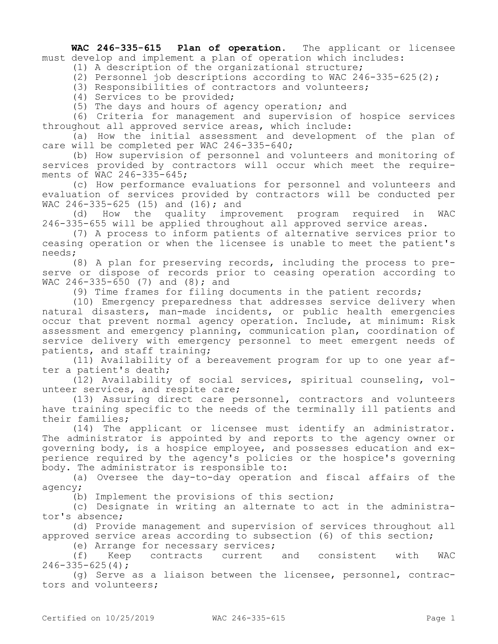**WAC 246-335-615 Plan of operation.** The applicant or licensee must develop and implement a plan of operation which includes:

(1) A description of the organizational structure;

(2) Personnel job descriptions according to WAC 246-335-625(2);

(3) Responsibilities of contractors and volunteers;

(4) Services to be provided;

(5) The days and hours of agency operation; and

(6) Criteria for management and supervision of hospice services throughout all approved service areas, which include:

(a) How the initial assessment and development of the plan of care will be completed per WAC 246-335-640;

(b) How supervision of personnel and volunteers and monitoring of services provided by contractors will occur which meet the requirements of WAC 246-335-645;

(c) How performance evaluations for personnel and volunteers and evaluation of services provided by contractors will be conducted per WAC 246-335-625 (15) and (16); and

(d) How the quality improvement program required in WAC 246-335-655 will be applied throughout all approved service areas.

(7) A process to inform patients of alternative services prior to ceasing operation or when the licensee is unable to meet the patient's needs;

(8) A plan for preserving records, including the process to preserve or dispose of records prior to ceasing operation according to WAC  $246 - 335 - 650$  (7) and (8); and

(9) Time frames for filing documents in the patient records;

(10) Emergency preparedness that addresses service delivery when natural disasters, man-made incidents, or public health emergencies occur that prevent normal agency operation. Include, at minimum: Risk assessment and emergency planning, communication plan, coordination of service delivery with emergency personnel to meet emergent needs of patients, and staff training;

(11) Availability of a bereavement program for up to one year after a patient's death;

(12) Availability of social services, spiritual counseling, volunteer services, and respite care;

(13) Assuring direct care personnel, contractors and volunteers have training specific to the needs of the terminally ill patients and their families;

(14) The applicant or licensee must identify an administrator. The administrator is appointed by and reports to the agency owner or governing body, is a hospice employee, and possesses education and experience required by the agency's policies or the hospice's governing body. The administrator is responsible to:

(a) Oversee the day-to-day operation and fiscal affairs of the agency;

(b) Implement the provisions of this section;

(c) Designate in writing an alternate to act in the administrator's absence;

(d) Provide management and supervision of services throughout all approved service areas according to subsection (6) of this section;

(e) Arrange for necessary services;

(f) Keep contracts current and consistent with WAC  $246 - 335 - 625(4)$ ;

(g) Serve as a liaison between the licensee, personnel, contractors and volunteers;